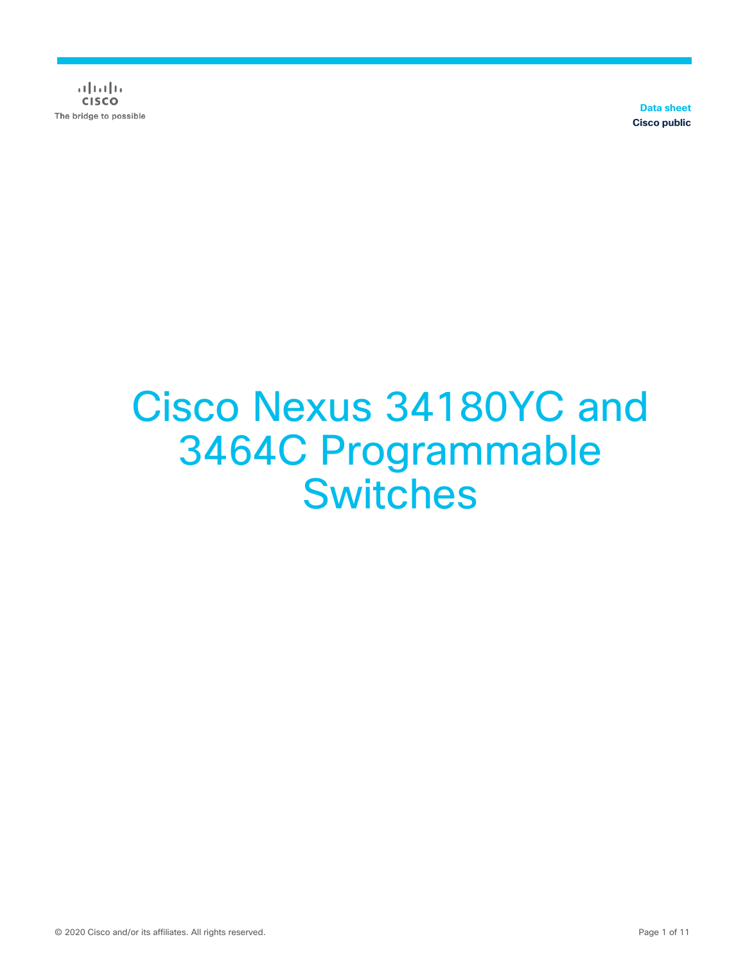$\frac{1}{2}$   $\left[\frac{1}{2}$   $\frac{1}{2}$   $\left[\frac{1}{2}$   $\frac{1}{2}$   $\frac{1}{2}$ **CISCO** The bridge to possible

**Data sheet Cisco public**

# Cisco Nexus 34180YC and 3464C Programmable **Switches**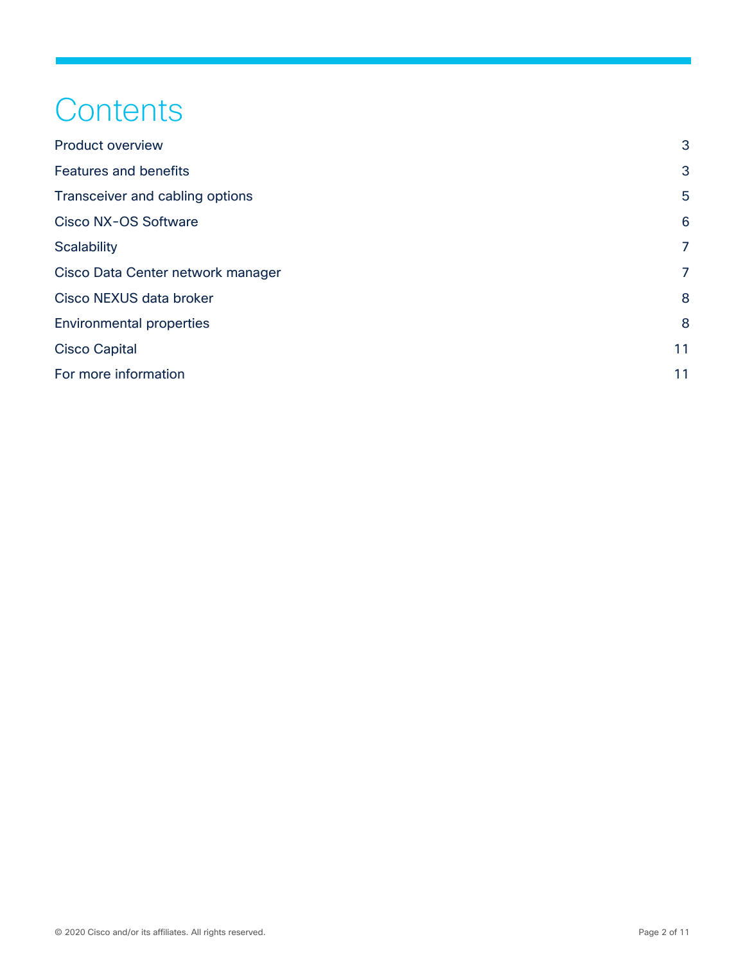# **Contents**

| <b>Product overview</b>           | 3              |
|-----------------------------------|----------------|
| <b>Features and benefits</b>      | 3              |
| Transceiver and cabling options   | 5              |
| Cisco NX-OS Software              | 6              |
| <b>Scalability</b>                | $\overline{7}$ |
| Cisco Data Center network manager | 7              |
| Cisco NEXUS data broker           |                |
| <b>Environmental properties</b>   | 8              |
| <b>Cisco Capital</b>              | 11             |
| For more information              | 11             |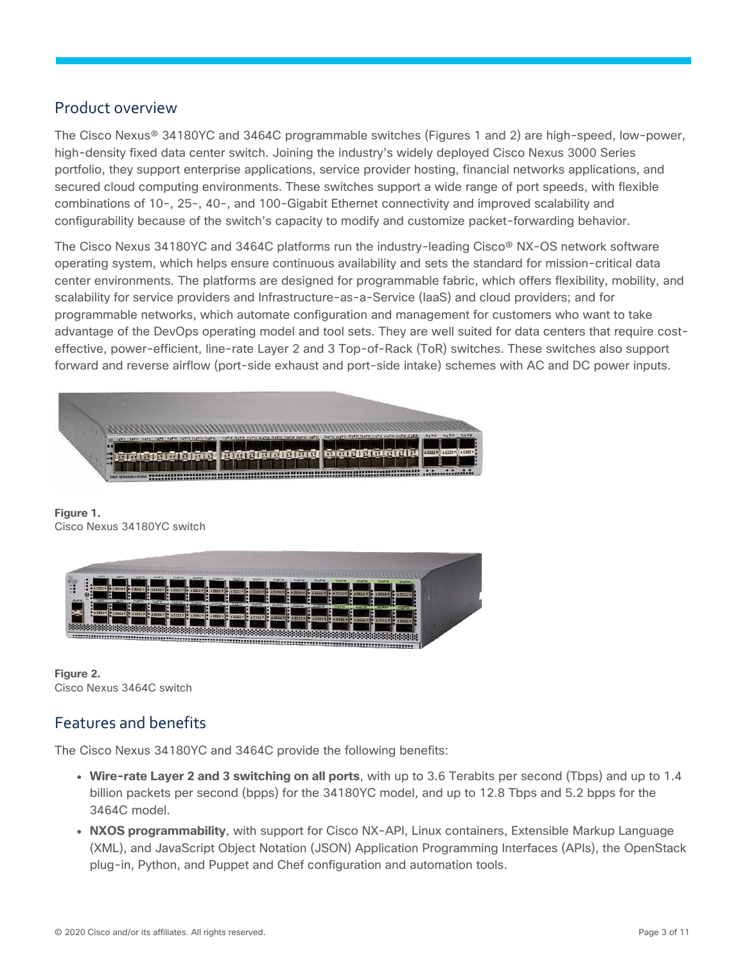#### <span id="page-2-0"></span>Product overview

The Cisco Nexus® 34180YC and 3464C programmable switches (Figures 1 and 2) are high-speed, low-power, high-density fixed data center switch. Joining the industry's widely deployed Cisco Nexus 3000 Series portfolio, they support enterprise applications, service provider hosting, financial networks applications, and secured cloud computing environments. These switches support a wide range of port speeds, with flexible combinations of 10-, 25-, 40-, and 100-Gigabit Ethernet connectivity and improved scalability and configurability because of the switch's capacity to modify and customize packet-forwarding behavior.

The Cisco Nexus 34180YC and 3464C platforms run the industry-leading Cisco® NX-OS network software operating system, which helps ensure continuous availability and sets the standard for mission-critical data center environments. The platforms are designed for programmable fabric, which offers flexibility, mobility, and scalability for service providers and Infrastructure-as-a-Service (IaaS) and cloud providers; and for programmable networks, which automate configuration and management for customers who want to take advantage of the DevOps operating model and tool sets. They are well suited for data centers that require costeffective, power-efficient, line-rate Layer 2 and 3 Top-of-Rack (ToR) switches. These switches also support forward and reverse airflow (port-side exhaust and port-side intake) schemes with AC and DC power inputs.



**Figure 1.**  Cisco Nexus 34180YC switch



**Figure 2.**  Cisco Nexus 3464C switch

# <span id="page-2-1"></span>Features and benefits

The Cisco Nexus 34180YC and 3464C provide the following benefits:

- **Wire-rate Layer 2 and 3 switching on all ports**, with up to 3.6 Terabits per second (Tbps) and up to 1.4 billion packets per second (bpps) for the 34180YC model, and up to 12.8 Tbps and 5.2 bpps for the 3464C model.
- **NXOS programmability**, with support for Cisco NX-API, Linux containers, Extensible Markup Language (XML), and JavaScript Object Notation (JSON) Application Programming Interfaces (APIs), the OpenStack plug-in, Python, and Puppet and Chef configuration and automation tools.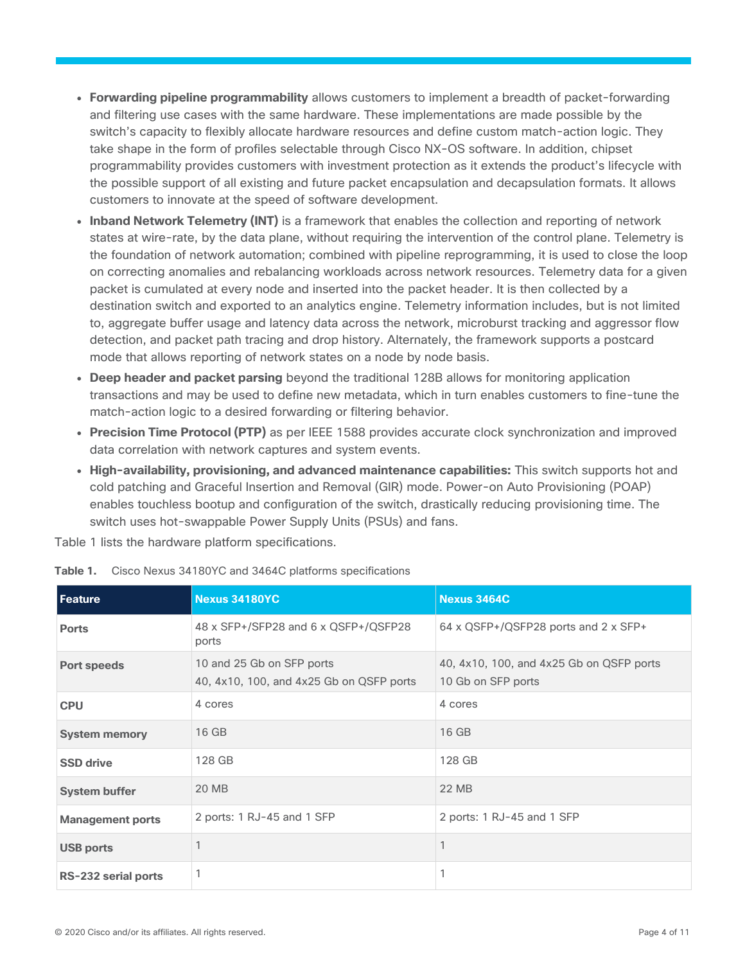- **Forwarding pipeline programmability** allows customers to implement a breadth of packet-forwarding and filtering use cases with the same hardware. These implementations are made possible by the switch's capacity to flexibly allocate hardware resources and define custom match-action logic. They take shape in the form of profiles selectable through Cisco NX-OS software. In addition, chipset programmability provides customers with investment protection as it extends the product's lifecycle with the possible support of all existing and future packet encapsulation and decapsulation formats. It allows customers to innovate at the speed of software development.
- **Inband Network Telemetry (INT)** is a framework that enables the collection and reporting of network states at wire-rate, by the data plane, without requiring the intervention of the control plane. Telemetry is the foundation of network automation; combined with pipeline reprogramming, it is used to close the loop on correcting anomalies and rebalancing workloads across network resources. Telemetry data for a given packet is cumulated at every node and inserted into the packet header. It is then collected by a destination switch and exported to an analytics engine. Telemetry information includes, but is not limited to, aggregate buffer usage and latency data across the network, microburst tracking and aggressor flow detection, and packet path tracing and drop history. Alternately, the framework supports a postcard mode that allows reporting of network states on a node by node basis.
- **Deep header and packet parsing** beyond the traditional 128B allows for monitoring application transactions and may be used to define new metadata, which in turn enables customers to fine-tune the match-action logic to a desired forwarding or filtering behavior.
- **Precision Time Protocol (PTP)** as per IEEE 1588 provides accurate clock synchronization and improved data correlation with network captures and system events.
- **High-availability, provisioning, and advanced maintenance capabilities:** This switch supports hot and cold patching and Graceful Insertion and Removal (GIR) mode. Power-on Auto Provisioning (POAP) enables touchless bootup and configuration of the switch, drastically reducing provisioning time. The switch uses hot-swappable Power Supply Units (PSUs) and fans.

Table 1 lists the hardware platform specifications.

| <b>Feature</b>          | <b>Nexus 34180YC</b>                                                  | <b>Nexus 3464C</b>                                             |
|-------------------------|-----------------------------------------------------------------------|----------------------------------------------------------------|
| <b>Ports</b>            | 48 x SFP+/SFP28 and 6 x QSFP+/QSFP28<br>ports                         | 64 x QSFP+/QSFP28 ports and 2 x SFP+                           |
| <b>Port speeds</b>      | 10 and 25 Gb on SFP ports<br>40, 4x10, 100, and 4x25 Gb on QSFP ports | 40, 4x10, 100, and 4x25 Gb on QSFP ports<br>10 Gb on SFP ports |
| <b>CPU</b>              | 4 cores                                                               | 4 cores                                                        |
| <b>System memory</b>    | 16 GB                                                                 | 16 GB                                                          |
| <b>SSD drive</b>        | 128 GB                                                                | 128 GB                                                         |
| <b>System buffer</b>    | <b>20 MB</b>                                                          | 22 MB                                                          |
| <b>Management ports</b> | 2 ports: 1 RJ-45 and 1 SFP                                            | 2 ports: 1 RJ-45 and 1 SFP                                     |
| <b>USB ports</b>        |                                                                       |                                                                |
| RS-232 serial ports     |                                                                       |                                                                |

**Table 1.** Cisco Nexus 34180YC and 3464C platforms specifications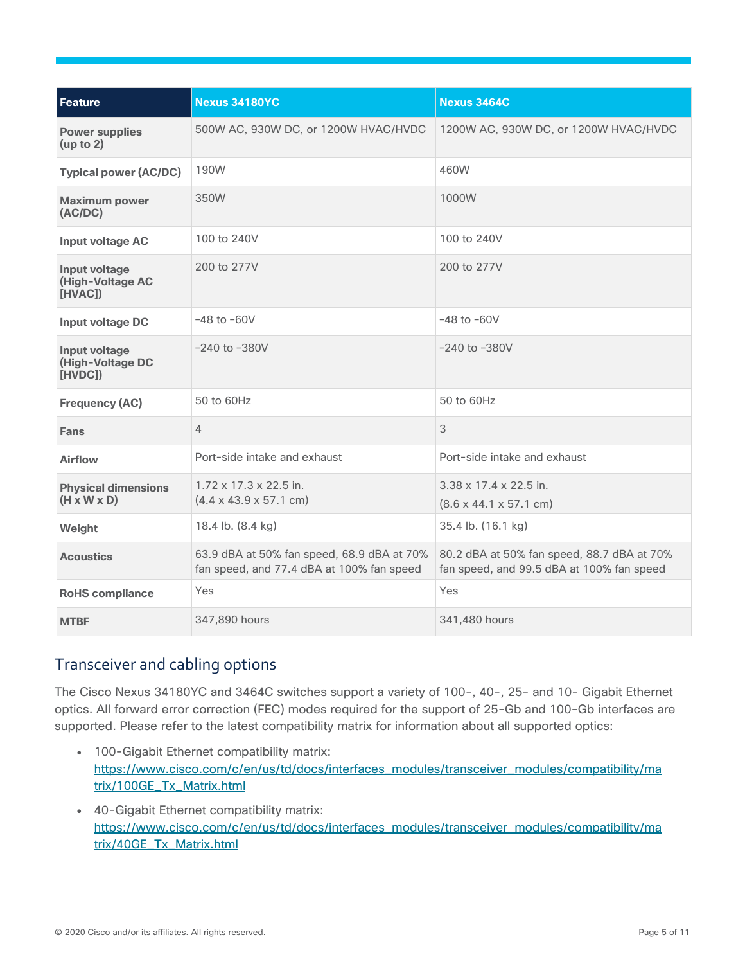| <b>Feature</b>                                        | <b>Nexus 34180YC</b>                                                                    | <b>Nexus 3464C</b>                                                                      |
|-------------------------------------------------------|-----------------------------------------------------------------------------------------|-----------------------------------------------------------------------------------------|
| <b>Power supplies</b><br>(up to 2)                    | 500W AC, 930W DC, or 1200W HVAC/HVDC                                                    | 1200W AC, 930W DC, or 1200W HVAC/HVDC                                                   |
| <b>Typical power (AC/DC)</b>                          | 190W                                                                                    | 460W                                                                                    |
| <b>Maximum power</b><br>(AC/DC)                       | 350W                                                                                    | 1000W                                                                                   |
| <b>Input voltage AC</b>                               | 100 to 240V                                                                             | 100 to 240V                                                                             |
| Input voltage<br>(High-Voltage AC<br>[HVAC])          | 200 to 277V                                                                             | 200 to 277V                                                                             |
| <b>Input voltage DC</b>                               | $-48$ to $-60V$                                                                         | $-48$ to $-60V$                                                                         |
| Input voltage<br>(High-Voltage DC<br>[HVDC]           | $-240$ to $-380V$                                                                       | $-240$ to $-380V$                                                                       |
| <b>Frequency (AC)</b>                                 | 50 to 60Hz                                                                              | 50 to 60Hz                                                                              |
| <b>Fans</b>                                           | 4                                                                                       | 3                                                                                       |
| <b>Airflow</b>                                        | Port-side intake and exhaust                                                            | Port-side intake and exhaust                                                            |
| <b>Physical dimensions</b><br>$(H \times W \times D)$ | $1.72 \times 17.3 \times 22.5$ in.<br>$(4.4 \times 43.9 \times 57.1 \text{ cm})$        | $3.38 \times 17.4 \times 22.5$ in.<br>$(8.6 \times 44.1 \times 57.1 \text{ cm})$        |
| Weight                                                | 18.4 lb. (8.4 kg)                                                                       | 35.4 lb. (16.1 kg)                                                                      |
| <b>Acoustics</b>                                      | 63.9 dBA at 50% fan speed, 68.9 dBA at 70%<br>fan speed, and 77.4 dBA at 100% fan speed | 80.2 dBA at 50% fan speed, 88.7 dBA at 70%<br>fan speed, and 99.5 dBA at 100% fan speed |
| <b>RoHS</b> compliance                                | Yes                                                                                     | <b>Yes</b>                                                                              |
| <b>MTBF</b>                                           | 347,890 hours                                                                           | 341,480 hours                                                                           |

# <span id="page-4-0"></span>Transceiver and cabling options

The Cisco Nexus 34180YC and 3464C switches support a variety of 100-, 40-, 25- and 10- Gigabit Ethernet optics. All forward error correction (FEC) modes required for the support of 25-Gb and 100-Gb interfaces are supported. Please refer to the latest compatibility matrix for information about all supported optics:

- 100-Gigabit Ethernet compatibility matrix: [https://www.cisco.com/c/en/us/td/docs/interfaces\\_modules/transceiver\\_modules/compatibility/ma](https://www.cisco.com/c/en/us/td/docs/interfaces_modules/transceiver_modules/compatibility/matrix/100GE_Tx_Matrix.html) [trix/100GE\\_Tx\\_Matrix.html](https://www.cisco.com/c/en/us/td/docs/interfaces_modules/transceiver_modules/compatibility/matrix/100GE_Tx_Matrix.html)
- 40-Gigabit Ethernet compatibility matrix: [https://www.cisco.com/c/en/us/td/docs/interfaces\\_modules/transceiver\\_modules/compatibility/ma](https://www.cisco.com/c/en/us/td/docs/interfaces_modules/transceiver_modules/compatibility/matrix/40GE_Tx_Matrix.html) [trix/40GE\\_Tx\\_Matrix.html](https://www.cisco.com/c/en/us/td/docs/interfaces_modules/transceiver_modules/compatibility/matrix/40GE_Tx_Matrix.html)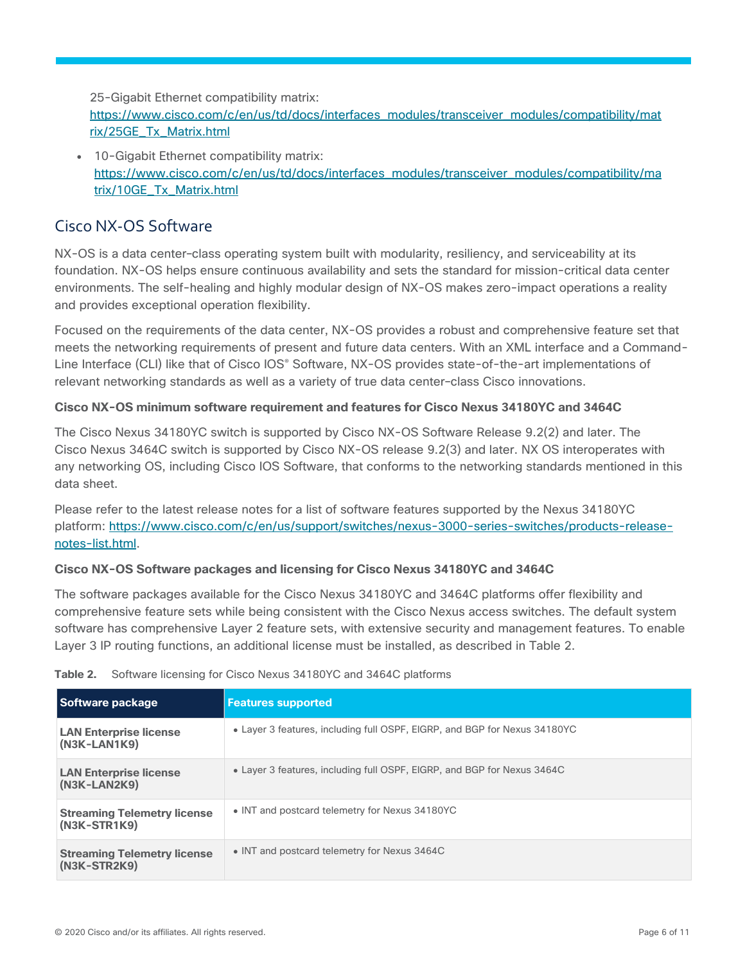25-Gigabit Ethernet compatibility matrix:

[https://www.cisco.com/c/en/us/td/docs/interfaces\\_modules/transceiver\\_modules/compatibility/mat](https://www.cisco.com/c/en/us/td/docs/interfaces_modules/transceiver_modules/compatibility/matrix/25GE_Tx_Matrix.html) [rix/25GE\\_Tx\\_Matrix.html](https://www.cisco.com/c/en/us/td/docs/interfaces_modules/transceiver_modules/compatibility/matrix/25GE_Tx_Matrix.html)

• 10-Gigabit Ethernet compatibility matrix: [https://www.cisco.com/c/en/us/td/docs/interfaces\\_modules/transceiver\\_modules/compatibility/ma](https://www.cisco.com/c/en/us/td/docs/interfaces_modules/transceiver_modules/compatibility/matrix/10GE_Tx_Matrix.html) [trix/10GE\\_Tx\\_Matrix.html](https://www.cisco.com/c/en/us/td/docs/interfaces_modules/transceiver_modules/compatibility/matrix/10GE_Tx_Matrix.html)

#### <span id="page-5-0"></span>Cisco NX-OS Software

NX-OS is a data center–class operating system built with modularity, resiliency, and serviceability at its foundation. NX-OS helps ensure continuous availability and sets the standard for mission-critical data center environments. The self-healing and highly modular design of NX-OS makes zero-impact operations a reality and provides exceptional operation flexibility.

Focused on the requirements of the data center, NX-OS provides a robust and comprehensive feature set that meets the networking requirements of present and future data centers. With an XML interface and a Command-Line Interface (CLI) like that of Cisco IOS° Software, NX-OS provides state-of-the-art implementations of relevant networking standards as well as a variety of true data center–class Cisco innovations.

#### **Cisco NX-OS minimum software requirement and features for Cisco Nexus 34180YC and 3464C**

The Cisco Nexus 34180YC switch is supported by Cisco NX-OS Software Release 9.2(2) and later. The Cisco Nexus 3464C switch is supported by Cisco NX-OS release 9.2(3) and later. NX OS interoperates with any networking OS, including Cisco IOS Software, that conforms to the networking standards mentioned in this data sheet.

Please refer to the latest release notes for a list of software features supported by the Nexus 34180YC platform: [https://www.cisco.com/c/en/us/support/switches/nexus-3000-series-switches/products-release](https://www.cisco.com/c/en/us/support/switches/nexus-3000-series-switches/products-release-notes-list.html)[notes-list.html.](https://www.cisco.com/c/en/us/support/switches/nexus-3000-series-switches/products-release-notes-list.html)

#### **Cisco NX-OS Software packages and licensing for Cisco Nexus 34180YC and 3464C**

The software packages available for the Cisco Nexus 34180YC and 3464C platforms offer flexibility and comprehensive feature sets while being consistent with the Cisco Nexus access switches. The default system software has comprehensive Layer 2 feature sets, with extensive security and management features. To enable Layer 3 IP routing functions, an additional license must be installed, as described in Table 2.

| Software package                                   | <b>Features supported</b>                                                 |
|----------------------------------------------------|---------------------------------------------------------------------------|
| <b>LAN Enterprise license</b><br>$(N3K-LAN1K9)$    | • Layer 3 features, including full OSPF, EIGRP, and BGP for Nexus 34180YC |
| <b>LAN Enterprise license</b><br>(N3K-LAN2K9)      | • Layer 3 features, including full OSPF, EIGRP, and BGP for Nexus 3464C   |
| <b>Streaming Telemetry license</b><br>(N3K-STR1K9) | • INT and postcard telemetry for Nexus 34180YC                            |
| <b>Streaming Telemetry license</b><br>(N3K-STR2K9) | • INT and postcard telemetry for Nexus 3464C                              |

**Table 2.** Software licensing for Cisco Nexus 34180YC and 3464C platforms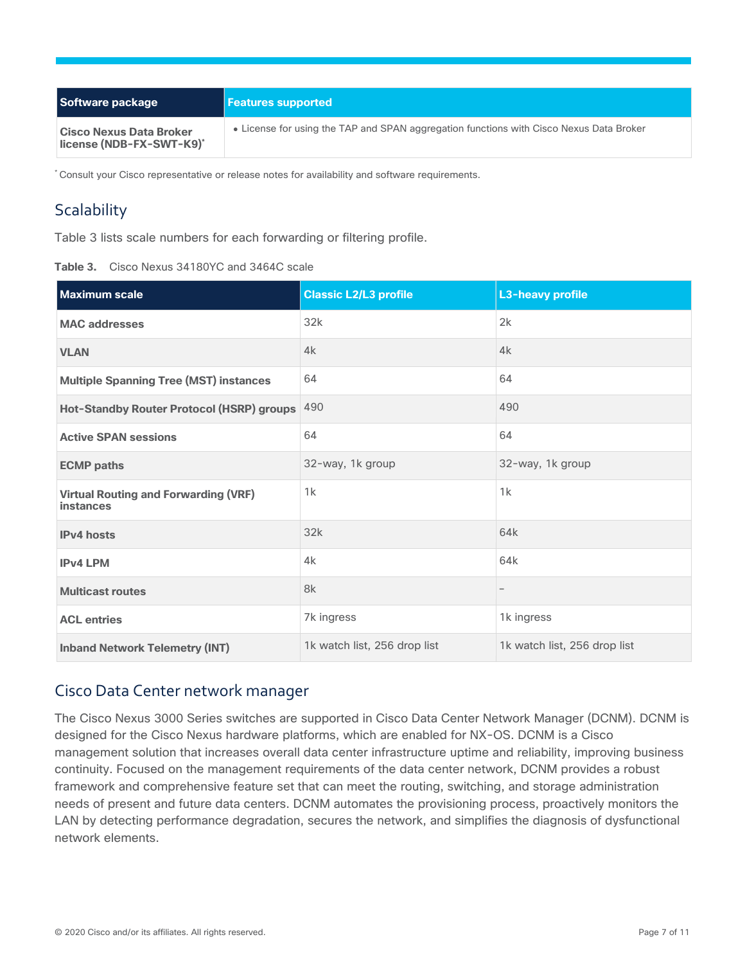| Software package                                           | <b>Features supported</b>                                                               |
|------------------------------------------------------------|-----------------------------------------------------------------------------------------|
| <b>Cisco Nexus Data Broker</b><br>license (NDB-FX-SWT-K9)* | • License for using the TAP and SPAN aggregation functions with Cisco Nexus Data Broker |

\* Consult your Cisco representative or release notes for availability and software requirements.

# <span id="page-6-0"></span>**Scalability**

Table 3 lists scale numbers for each forwarding or filtering profile.

| Table 3. |  | Cisco Nexus 34180YC and 3464C scale |  |  |
|----------|--|-------------------------------------|--|--|
|          |  |                                     |  |  |

| <b>Maximum scale</b>                                            | <b>Classic L2/L3 profile</b> | <b>L3-heavy profile</b>      |
|-----------------------------------------------------------------|------------------------------|------------------------------|
| <b>MAC addresses</b>                                            | 32k                          | 2k                           |
| <b>VLAN</b>                                                     | 4k                           | 4k                           |
| <b>Multiple Spanning Tree (MST) instances</b>                   | 64                           | 64                           |
| Hot-Standby Router Protocol (HSRP) groups                       | 490                          | 490                          |
| <b>Active SPAN sessions</b>                                     | 64                           | 64                           |
| <b>ECMP</b> paths                                               | 32-way, 1k group             | 32-way, 1k group             |
| <b>Virtual Routing and Forwarding (VRF)</b><br><b>instances</b> | 1k                           | 1k                           |
| <b>IPv4</b> hosts                                               | 32k                          | 64k                          |
| <b>IPv4 LPM</b>                                                 | 4k                           | 64k                          |
| <b>Multicast routes</b>                                         | 8k                           |                              |
| <b>ACL entries</b>                                              | 7k ingress                   | 1k ingress                   |
| <b>Inband Network Telemetry (INT)</b>                           | 1k watch list, 256 drop list | 1k watch list, 256 drop list |

# <span id="page-6-1"></span>Cisco Data Center network manager

The Cisco Nexus 3000 Series switches are supported in Cisco Data Center Network Manager (DCNM). DCNM is designed for the Cisco Nexus hardware platforms, which are enabled for NX-OS. DCNM is a Cisco management solution that increases overall data center infrastructure uptime and reliability, improving business continuity. Focused on the management requirements of the data center network, DCNM provides a robust framework and comprehensive feature set that can meet the routing, switching, and storage administration needs of present and future data centers. DCNM automates the provisioning process, proactively monitors the LAN by detecting performance degradation, secures the network, and simplifies the diagnosis of dysfunctional network elements.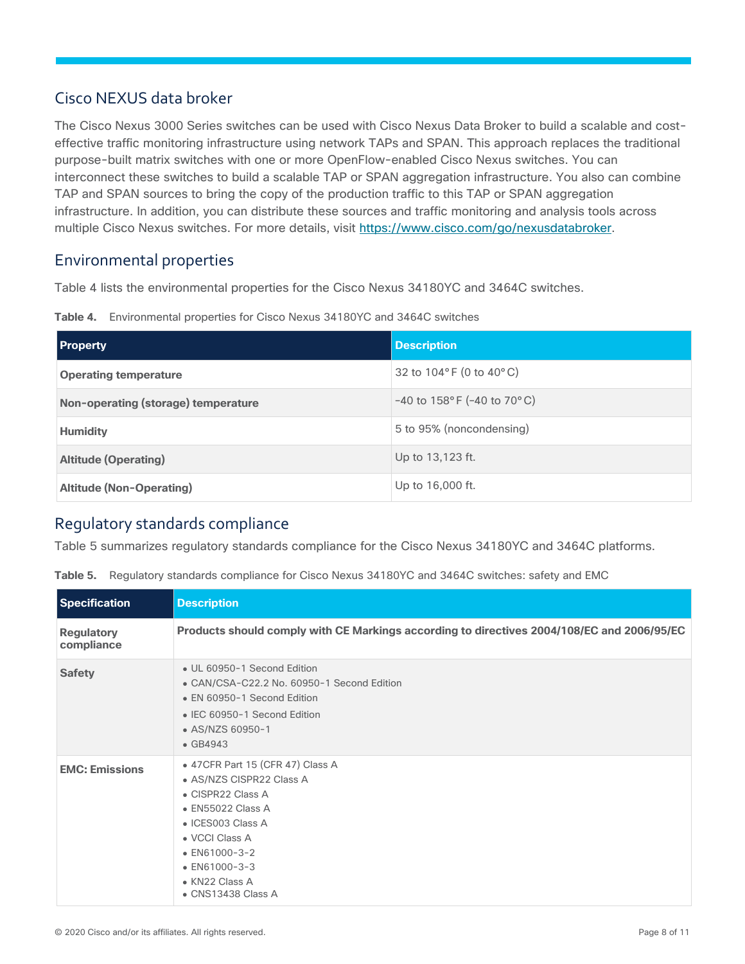# <span id="page-7-0"></span>Cisco NEXUS data broker

The Cisco Nexus 3000 Series switches can be used with Cisco Nexus Data Broker to build a scalable and costeffective traffic monitoring infrastructure using network TAPs and SPAN. This approach replaces the traditional purpose-built matrix switches with one or more OpenFlow-enabled Cisco Nexus switches. You can interconnect these switches to build a scalable TAP or SPAN aggregation infrastructure. You also can combine TAP and SPAN sources to bring the copy of the production traffic to this TAP or SPAN aggregation infrastructure. In addition, you can distribute these sources and traffic monitoring and analysis tools across multiple Cisco Nexus switches. For more details, visit [https://www.cisco.com/go/nexusdatabroker.](https://www.cisco.com/go/nexusdatabroker)

#### <span id="page-7-1"></span>Environmental properties

Table 4 lists the environmental properties for the Cisco Nexus 34180YC and 3464C switches.

**Table 4.** Environmental properties for Cisco Nexus 34180YC and 3464C switches

| <b>Property</b>                     | <b>Description</b>                          |
|-------------------------------------|---------------------------------------------|
| <b>Operating temperature</b>        | 32 to $104^{\circ}$ F (0 to $40^{\circ}$ C) |
| Non-operating (storage) temperature | $-40$ to 158°F (-40 to 70°C)                |
| <b>Humidity</b>                     | 5 to 95% (noncondensing)                    |
| <b>Altitude (Operating)</b>         | Up to 13,123 ft.                            |
| <b>Altitude (Non-Operating)</b>     | Up to 16,000 ft.                            |

# Regulatory standards compliance

Table 5 summarizes regulatory standards compliance for the Cisco Nexus 34180YC and 3464C platforms.

|  |  |  | Table 5. Regulatory standards compliance for Cisco Nexus 34180YC and 3464C switches: safety and EMC |
|--|--|--|-----------------------------------------------------------------------------------------------------|
|  |  |  |                                                                                                     |

| <b>Specification</b>            | <b>Description</b>                                                                                                                                                                                                                                       |
|---------------------------------|----------------------------------------------------------------------------------------------------------------------------------------------------------------------------------------------------------------------------------------------------------|
| <b>Regulatory</b><br>compliance | Products should comply with CE Markings according to directives 2004/108/EC and 2006/95/EC                                                                                                                                                               |
| <b>Safety</b>                   | • UL 60950-1 Second Edition<br>• CAN/CSA-C22.2 No. 60950-1 Second Edition<br>• EN 60950-1 Second Edition<br>• IEC 60950-1 Second Edition<br>• AS/NZS 60950-1<br>$\bullet$ GB4943                                                                         |
| <b>EMC: Emissions</b>           | • 47 CFR Part 15 (CFR 47) Class A<br>• AS/NZS CISPR22 Class A<br>• CISPR22 Class A<br>$\bullet$ EN55022 Class A<br>• ICES003 Class A<br>• VCCI Class A<br>$\bullet$ EN61000-3-2<br>$\bullet$ EN61000-3-3<br>• KN22 Class A<br>$\bullet$ CNS13438 Class A |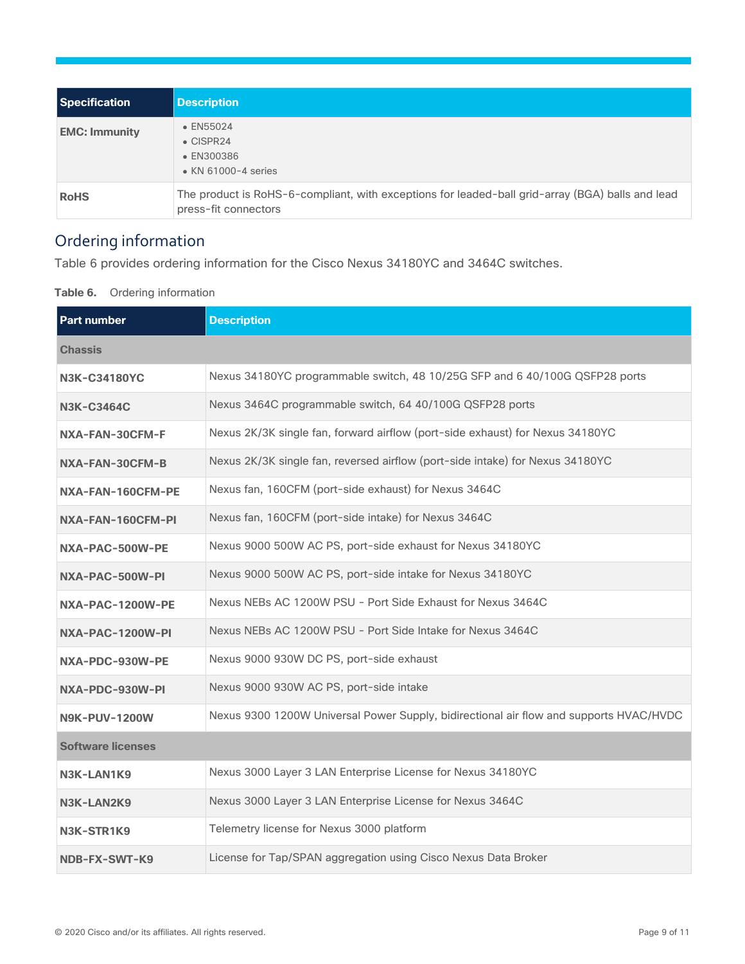| <b>Specification</b> | <b>Description</b>                                                                                                       |
|----------------------|--------------------------------------------------------------------------------------------------------------------------|
| <b>EMC: Immunity</b> | • EN55024<br>$\bullet$ CISPR24<br>• EN300386<br>• KN 61000-4 series                                                      |
| <b>RoHS</b>          | The product is RoHS-6-compliant, with exceptions for leaded-ball grid-array (BGA) balls and lead<br>press-fit connectors |

# Ordering information

Table 6 provides ordering information for the Cisco Nexus 34180YC and 3464C switches.

**Table 6.** Ordering information

| <b>Part number</b>       | <b>Description</b>                                                                     |
|--------------------------|----------------------------------------------------------------------------------------|
| <b>Chassis</b>           |                                                                                        |
| <b>N3K-C34180YC</b>      | Nexus 34180YC programmable switch, 48 10/25G SFP and 6 40/100G QSFP28 ports            |
| <b>N3K-C3464C</b>        | Nexus 3464C programmable switch, 64 40/100G QSFP28 ports                               |
| NXA-FAN-30CFM-F          | Nexus 2K/3K single fan, forward airflow (port-side exhaust) for Nexus 34180YC          |
| NXA-FAN-30CFM-B          | Nexus 2K/3K single fan, reversed airflow (port-side intake) for Nexus 34180YC          |
| NXA-FAN-160CFM-PE        | Nexus fan, 160CFM (port-side exhaust) for Nexus 3464C                                  |
| NXA-FAN-160CFM-PI        | Nexus fan, 160CFM (port-side intake) for Nexus 3464C                                   |
| NXA-PAC-500W-PE          | Nexus 9000 500W AC PS, port-side exhaust for Nexus 34180YC                             |
| NXA-PAC-500W-PI          | Nexus 9000 500W AC PS, port-side intake for Nexus 34180YC                              |
| NXA-PAC-1200W-PE         | Nexus NEBs AC 1200W PSU - Port Side Exhaust for Nexus 3464C                            |
| NXA-PAC-1200W-PI         | Nexus NEBs AC 1200W PSU - Port Side Intake for Nexus 3464C                             |
| NXA-PDC-930W-PE          | Nexus 9000 930W DC PS, port-side exhaust                                               |
| NXA-PDC-930W-PI          | Nexus 9000 930W AC PS, port-side intake                                                |
| <b>N9K-PUV-1200W</b>     | Nexus 9300 1200W Universal Power Supply, bidirectional air flow and supports HVAC/HVDC |
| <b>Software licenses</b> |                                                                                        |
| N3K-LAN1K9               | Nexus 3000 Layer 3 LAN Enterprise License for Nexus 34180YC                            |
| N3K-LAN2K9               | Nexus 3000 Layer 3 LAN Enterprise License for Nexus 3464C                              |
| N3K-STR1K9               | Telemetry license for Nexus 3000 platform                                              |
| NDB-FX-SWT-K9            | License for Tap/SPAN aggregation using Cisco Nexus Data Broker                         |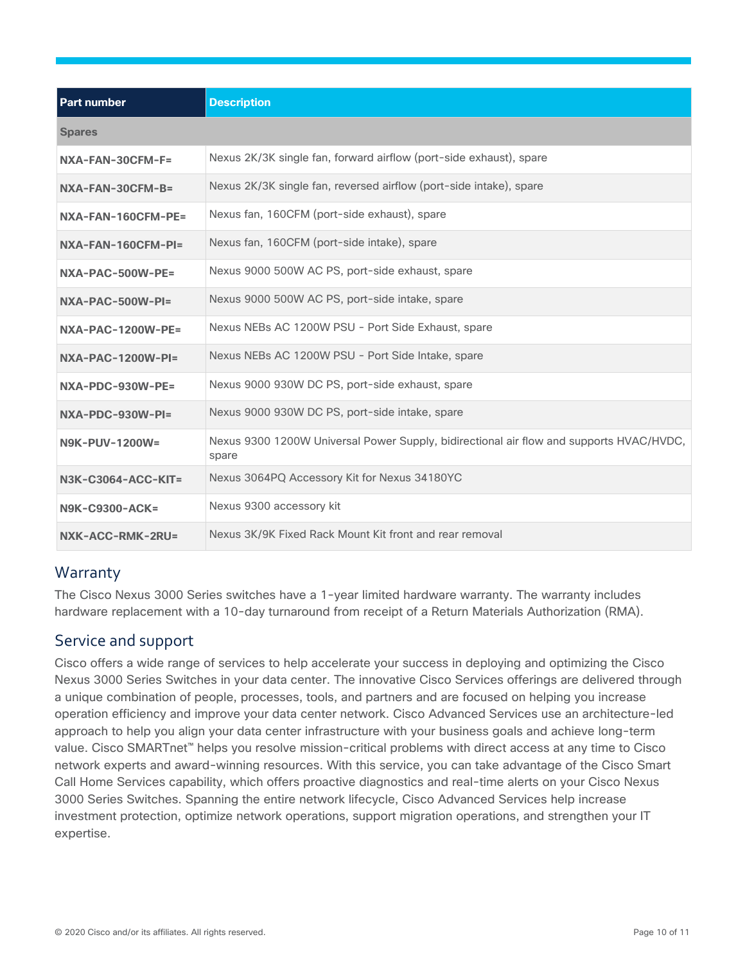| <b>Part number</b>       | <b>Description</b>                                                                               |
|--------------------------|--------------------------------------------------------------------------------------------------|
| <b>Spares</b>            |                                                                                                  |
| NXA-FAN-30CFM-F=         | Nexus 2K/3K single fan, forward airflow (port-side exhaust), spare                               |
| NXA-FAN-30CFM-B=         | Nexus 2K/3K single fan, reversed airflow (port-side intake), spare                               |
| NXA-FAN-160CFM-PE=       | Nexus fan, 160CFM (port-side exhaust), spare                                                     |
| NXA-FAN-160CFM-PI=       | Nexus fan, 160CFM (port-side intake), spare                                                      |
| NXA-PAC-500W-PE=         | Nexus 9000 500W AC PS, port-side exhaust, spare                                                  |
| NXA-PAC-500W-PI=         | Nexus 9000 500W AC PS, port-side intake, spare                                                   |
| <b>NXA-PAC-1200W-PE=</b> | Nexus NEBs AC 1200W PSU - Port Side Exhaust, spare                                               |
| $NXA-PAC-1200W-PI=$      | Nexus NEBs AC 1200W PSU - Port Side Intake, spare                                                |
| NXA-PDC-930W-PE=         | Nexus 9000 930W DC PS, port-side exhaust, spare                                                  |
| NXA-PDC-930W-PI=         | Nexus 9000 930W DC PS, port-side intake, spare                                                   |
| <b>N9K-PUV-1200W=</b>    | Nexus 9300 1200W Universal Power Supply, bidirectional air flow and supports HVAC/HVDC,<br>spare |
| N3K-C3064-ACC-KIT=       | Nexus 3064PQ Accessory Kit for Nexus 34180YC                                                     |
| <b>N9K-C9300-ACK=</b>    | Nexus 9300 accessory kit                                                                         |
| NXK-ACC-RMK-2RU=         | Nexus 3K/9K Fixed Rack Mount Kit front and rear removal                                          |

#### **Warranty**

The Cisco Nexus 3000 Series switches have a 1-year limited hardware warranty. The warranty includes hardware replacement with a 10-day turnaround from receipt of a Return Materials Authorization (RMA).

#### Service and support

Cisco offers a wide range of services to help accelerate your success in deploying and optimizing the Cisco Nexus 3000 Series Switches in your data center. The innovative Cisco Services offerings are delivered through a unique combination of people, processes, tools, and partners and are focused on helping you increase operation efficiency and improve your data center network. Cisco Advanced Services use an architecture-led approach to help you align your data center infrastructure with your business goals and achieve long-term value. Cisco SMARTnet™ helps you resolve mission-critical problems with direct access at any time to Cisco network experts and award-winning resources. With this service, you can take advantage of the Cisco Smart Call Home Services capability, which offers proactive diagnostics and real-time alerts on your Cisco Nexus 3000 Series Switches. Spanning the entire network lifecycle, Cisco Advanced Services help increase investment protection, optimize network operations, support migration operations, and strengthen your IT expertise.